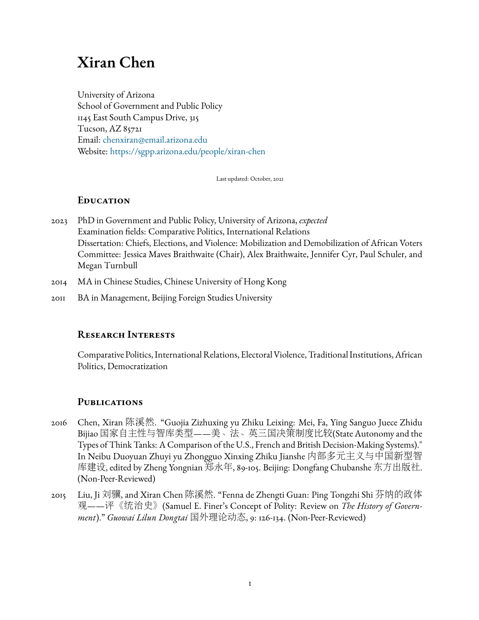# **Xiran Chen**

University of Arizona School of Government and Public Policy 1145 East South Campus Drive, 315 Tucson, AZ 85721 Email: [chenxiran@email.arizona.edu](mailto:chenxiran@email.arizona.edu) Website: <https://sgpp.arizona.edu/people/xiran-chen>

Last updated: October, 2021

# **Education**

- 2023 PhD in Government and Public Policy, University of Arizona, *expected* Examination fields: Comparative Politics, International Relations Dissertation: Chiefs, Elections, and Violence: Mobilization and Demobilization of African Voters Committee: Jessica Maves Braithwaite (Chair), Alex Braithwaite, Jennifer Cyr, Paul Schuler, and Megan Turnbull
- 2014 MA in Chinese Studies, Chinese University of Hong Kong
- 2011 BA in Management, Beijing Foreign Studies University

# **Research Interests**

Comparative Politics, International Relations, Electoral Violence, Traditional Institutions, African Politics, Democratization

# **Publications**

- 2016 Chen, Xiran 陈溪然. "Guojia Zizhuxing yu Zhiku Leixing: Mei, Fa, Ying Sanguo Juece Zhidu Bijiao <sup>国</sup>家自主性与智库类型——美、法、英三国决策制度比较(State Autonomy and the Types of Think Tanks: A Comparison of the U.S., French and British Decision-Making Systems)." In Neibu Duoyuan Zhuyi yu Zhongguo Xinxing Zhiku Jianshe <sup>内</sup>部多元主义与中国新型<sup>智</sup> 库建设, edited by Zheng Yongnian <sup>郑</sup>永年, 89-105. Beijing: Dongfang Chubanshe <sup>东</sup>方出版社. (Non-Peer-Reviewed)
- 2015 Liu, Ji <sup>刘</sup>骥, and Xiran Chen <sup>陈</sup>溪然. "Fenna de Zhengti Guan: Ping Tongzhi Shi <sup>芬</sup>纳的政<sup>体</sup> 观——评《统治史》(Samuel E. Finer's Concept of Polity: Review on *The History of Government*)." *Guowai Lilun Dongtai* <sup>国</sup>外理论动态, 9: 126-134. (Non-Peer-Reviewed)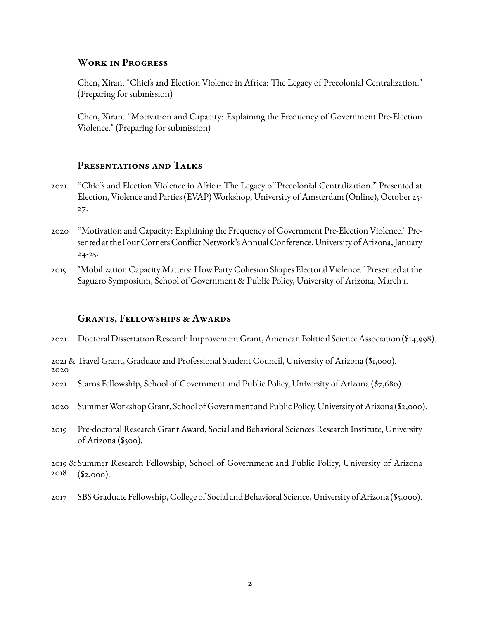## **Work in Progress**

Chen, Xiran. "Chiefs and Election Violence in Africa: The Legacy of Precolonial Centralization." (Preparing for submission)

Chen, Xiran. "Motivation and Capacity: Explaining the Frequency of Government Pre-Election Violence." (Preparing for submission)

## **Presentations and Talks**

- 2021 "Chiefs and Election Violence in Africa: The Legacy of Precolonial Centralization." Presented at Election, Violence and Parties (EVAP) Workshop, University of Amsterdam (Online), October 25- 27.
- 2020 "Motivation and Capacity: Explaining the Frequency of Government Pre-Election Violence." Presented at the Four Corners Conflict Network's Annual Conference, University of Arizona, January 24-25.
- 2019 "Mobilization Capacity Matters: How Party Cohesion Shapes Electoral Violence." Presented at the Saguaro Symposium, School of Government & Public Policy, University of Arizona, March 1.

#### **Grants, Fellowships & Awards**

- 2021 Doctoral Dissertation Research Improvement Grant, American Political ScienceAssociation (\$14,998).
- 2021 & Travel Grant, Graduate and Professional Student Council, University of Arizona (\$1,000). 2020
- 2021 Starns Fellowship, School of Government and Public Policy, University of Arizona (\$7,680).
- 2020 SummerWorkshop Grant, School of Government and Public Policy, University ofArizona (\$2,000).
- 2019 Pre-doctoral Research Grant Award, Social and Behavioral Sciences Research Institute, University of Arizona (\$500).

2019 & Summer Research Fellowship, School of Government and Public Policy, University of Arizona 2018  $($2,000)$ .

2017 SBS Graduate Fellowship, College of Social and Behavioral Science, University of Arizona (\$5,000).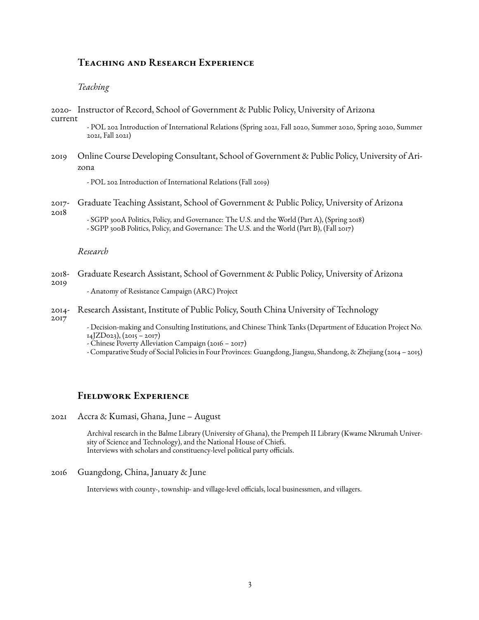# **Teaching and Research Experience**

#### *Teaching*

2020- Instructor of Record, School of Government & Public Policy, University of Arizona current

> - POL 202 Introduction of International Relations (Spring 2021, Fall 2020, Summer 2020, Spring 2020, Summer 2021, Fall 2021)

2019 Online Course Developing Consultant, School of Government & Public Policy, University of Arizona

- POL 202 Introduction of International Relations (Fall 2019)

2017- Graduate Teaching Assistant, School of Government & Public Policy, University of Arizona

2018

- SGPP 300A Politics, Policy, and Governance: The U.S. and the World (Part A), (Spring 2018) - SGPP 300B Politics, Policy, and Governance: The U.S. and the World (Part B), (Fall 2017)

#### *Research*

- 2018- 2019 Graduate Research Assistant, School of Government & Public Policy, University of Arizona
	- Anatomy of Resistance Campaign (ARC) Project
- 2014- Research Assistant, Institute of Public Policy, South China University of Technology
- 2017

- Decision-making and Consulting Institutions, and Chinese Think Tanks (Department of Education Project No. 14JZD023), (2015 – 2017)

- Chinese Poverty Alleviation Campaign (2016 2017)
- Comparative Study of Social Policies in Four Provinces: Guangdong, Jiangsu, Shandong, & Zhejiang (2014 2015)

## **Fieldwork Experience**

2021 Accra & Kumasi, Ghana, June – August

Archival research in the Balme Library (University of Ghana), the Prempeh II Library (Kwame Nkrumah University of Science and Technology), and the National House of Chiefs. Interviews with scholars and constituency-level political party officials.

2016 Guangdong, China, January & June

Interviews with county-, township- and village-level officials, local businessmen, and villagers.